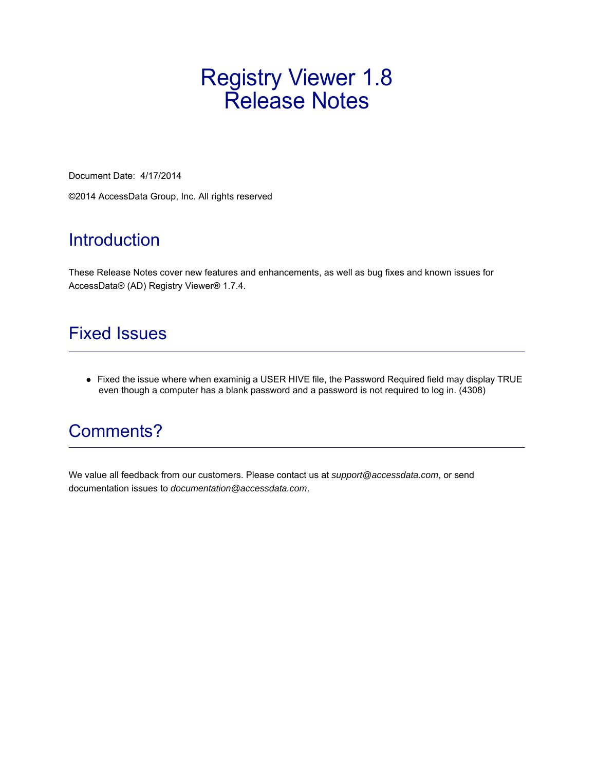## Registry Viewer 1.8 Release Notes

Document Date: 4/17/2014

©2014 AccessData Group, Inc. All rights reserved

### Introduction

These Release Notes cover new features and enhancements, as well as bug fixes and known issues for AccessData® (AD) Registry Viewer® 1.7.4.

#### Fixed Issues

Fixed the issue where when examinig a USER HIVE file, the Password Required field may display TRUE even though a computer has a blank password and a password is not required to log in. (4308)

## Comments?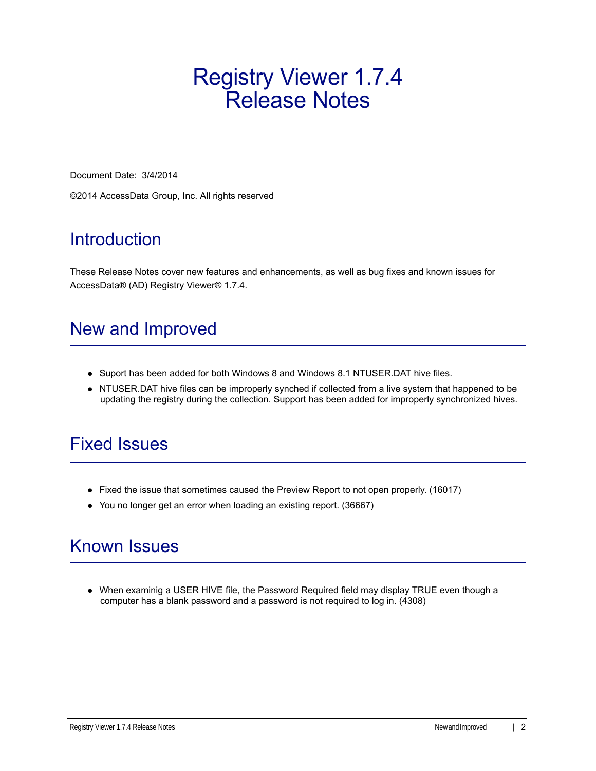# Registry Viewer 1.7.4 Release Notes

Document Date: 3/4/2014

©2014 AccessData Group, Inc. All rights reserved

## **Introduction**

These Release Notes cover new features and enhancements, as well as bug fixes and known issues for AccessData® (AD) Registry Viewer® 1.7.4.

## New and Improved

- Suport has been added for both Windows 8 and Windows 8.1 NTUSER.DAT hive files.
- NTUSER.DAT hive files can be improperly synched if collected from a live system that happened to be updating the registry during the collection. Support has been added for improperly synchronized hives.

#### Fixed Issues

- Fixed the issue that sometimes caused the Preview Report to not open properly. (16017)
- You no longer get an error when loading an existing report. (36667)

## Known Issues

When examinig a USER HIVE file, the Password Required field may display TRUE even though a computer has a blank password and a password is not required to log in. (4308)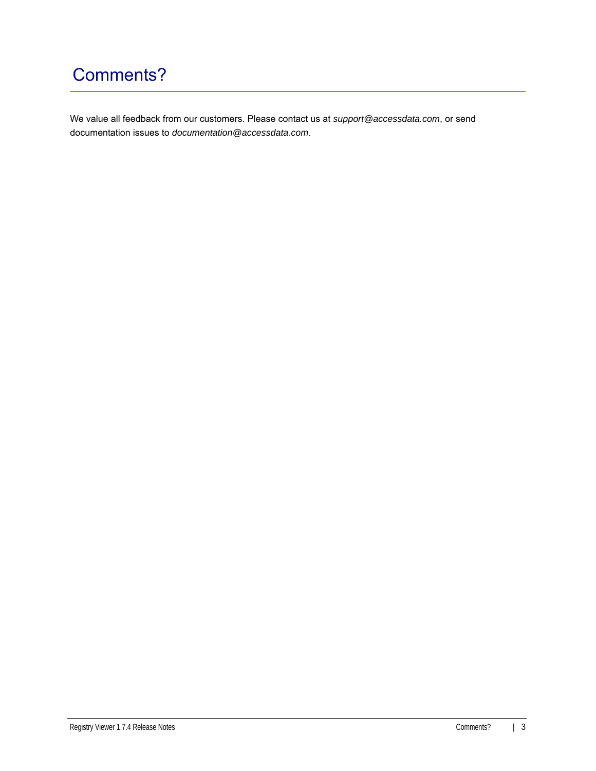## Comments?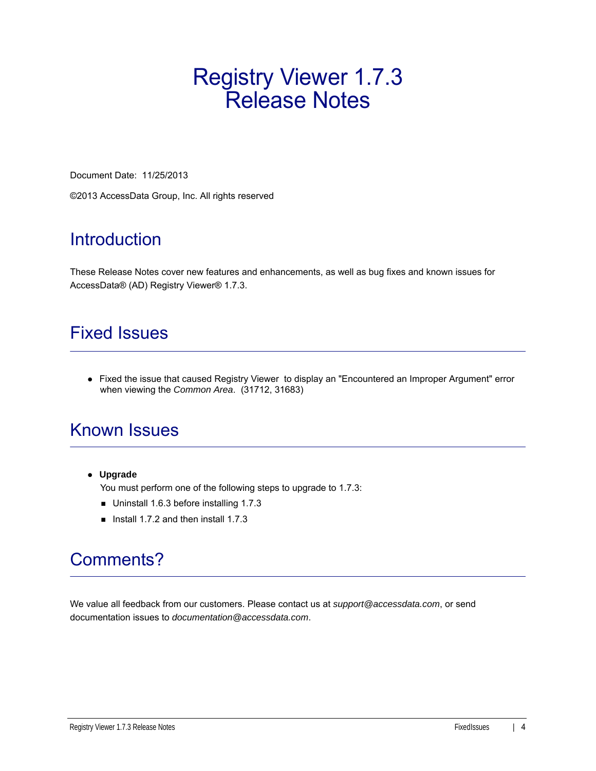# Registry Viewer 1.7.3 Release Notes

Document Date: 11/25/2013

©2013 AccessData Group, Inc. All rights reserved

## **Introduction**

These Release Notes cover new features and enhancements, as well as bug fixes and known issues for AccessData® (AD) Registry Viewer® 1.7.3.

### Fixed Issues

• Fixed the issue that caused Registry Viewer to display an "Encountered an Improper Argument" error when viewing the *Common Area*. (31712, 31683)

## Known Issues

**Upgrade**

You must perform one of the following steps to upgrade to 1.7.3:

- Uninstall 1.6.3 before installing 1.7.3
- Install 1.7.2 and then install 1.7.3

## Comments?